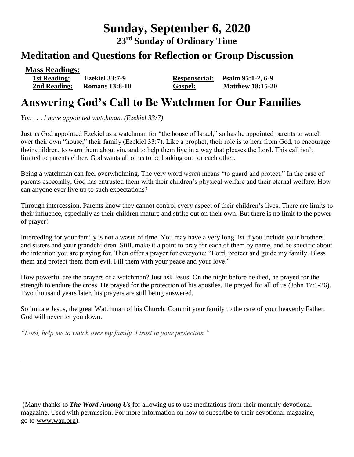# **Sunday, September 6, 2020**

**23 rd Sunday of Ordinary Time**

### **Meditation and Questions for Reflection or Group Discussion**

**Mass Readings:** 

 **1st Reading: Ezekiel 33:7-9 Responsorial: Psalm 95:1-2, 6-9 2nd Reading: Romans 13:8-10 Gospel: Matthew 18:15-20**

## **Answering God's Call to Be Watchmen for Our Families**

*You . . . I have appointed watchman. (Ezekiel 33:7)*

Just as God appointed Ezekiel as a watchman for "the house of Israel," so has he appointed parents to watch over their own "house," their family (Ezekiel 33:7). Like a prophet, their role is to hear from God, to encourage their children, to warn them about sin, and to help them live in a way that pleases the Lord. This call isn't limited to parents either. God wants all of us to be looking out for each other.

Being a watchman can feel overwhelming. The very word *watch* means "to guard and protect." In the case of parents especially, God has entrusted them with their children's physical welfare and their eternal welfare. How can anyone ever live up to such expectations?

Through intercession. Parents know they cannot control every aspect of their children's lives. There are limits to their influence, especially as their children mature and strike out on their own. But there is no limit to the power of prayer!

Interceding for your family is not a waste of time. You may have a very long list if you include your brothers and sisters and your grandchildren. Still, make it a point to pray for each of them by name, and be specific about the intention you are praying for. Then offer a prayer for everyone: "Lord, protect and guide my family. Bless them and protect them from evil. Fill them with your peace and your love."

How powerful are the prayers of a watchman? Just ask Jesus. On the night before he died, he prayed for the strength to endure the cross. He prayed for the protection of his apostles. He prayed for all of us (John 17:1-26). Two thousand years later, his prayers are still being answered.

So imitate Jesus, the great Watchman of his Church. Commit your family to the care of your heavenly Father. God will never let you down.

*"Lord, help me to watch over my family. I trust in your protection."*

*.*

(Many thanks to *[The Word Among Us](http://www.wau.org/)* for allowing us to use meditations from their monthly devotional magazine. Used with permission. For more information on how to subscribe to their devotional magazine, go to [www.wau.org\)](http://www.wau.org/).